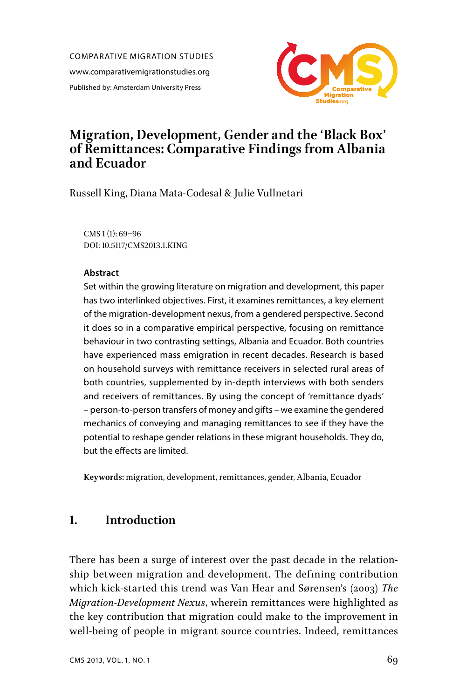COMPARATIVE MIGRATION STUDIES www.comparativemigrationstudies.org Published by: Amsterdam University Press



# **Migration, Development, Gender and the 'Black Box' of Remittances: Comparative Findings from Albania and Ecuador**

Russell King, Diana Mata-Codesal & Julie Vullnetari

CMS 1 (1): 69–96 DOI: 10.5117/CMS2013.1.KING

#### **Abstract**

Set within the growing literature on migration and development, this paper has two interlinked objectives. First, it examines remittances, a key element of the migration-development nexus, from a gendered perspective. Second it does so in a comparative empirical perspective, focusing on remittance behaviour in two contrasting settings, Albania and Ecuador. Both countries have experienced mass emigration in recent decades. Research is based on household surveys with remittance receivers in selected rural areas of both countries, supplemented by in-depth interviews with both senders and receivers of remittances. By using the concept of 'remittance dyads' – person-to-person transfers of money and gifts – we examine the gendered mechanics of conveying and managing remittances to see if they have the potential to reshape gender relations in these migrant households. They do, but the effects are limited.

**Keywords:** migration, development, remittances, gender, Albania, Ecuador

## **1. Introduction**

There has been a surge of interest over the past decade in the relationship between migration and development. The defining contribution which kick-started this trend was Van Hear and Sørensen's (2003) *The Migration-Development Nexus*, wherein remittances were highlighted as the key contribution that migration could make to the improvement in well-being of people in migrant source countries. Indeed, remittances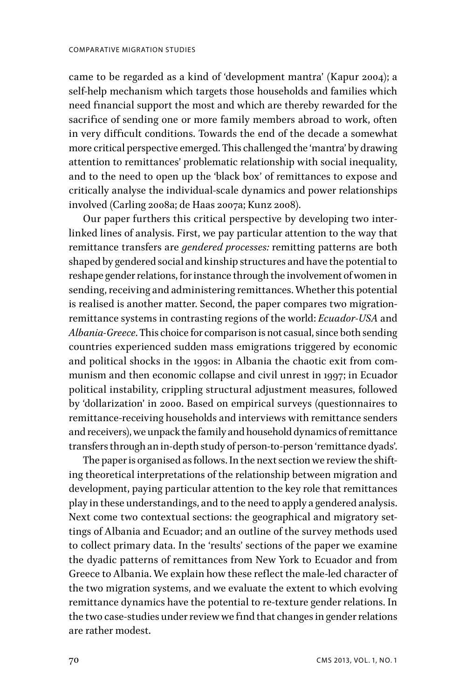came to be regarded as a kind of 'development mantra' (Kapur 2004); a self-help mechanism which targets those households and families which need financial support the most and which are thereby rewarded for the sacrifice of sending one or more family members abroad to work, often in very difficult conditions. Towards the end of the decade a somewhat more critical perspective emerged. This challenged the 'mantra' by drawing attention to remittances' problematic relationship with social inequality, and to the need to open up the 'black box' of remittances to expose and critically analyse the individual-scale dynamics and power relationships involved (Carling 2008a; de Haas 2007a; Kunz 2008).

Our paper furthers this critical perspective by developing two interlinked lines of analysis. First, we pay particular attention to the way that remittance transfers are *gendered processes:* remitting patterns are both shaped by gendered social and kinship structures and have the potential to reshape gender relations, for instance through the involvement of women in sending, receiving and administering remittances. Whether this potential is realised is another matter. Second, the paper compares two migrationremittance systems in contrasting regions of the world: *Ecuador-USA* and *Albania-Greece*. This choice for comparison is not casual, since both sending countries experienced sudden mass emigrations triggered by economic and political shocks in the 1990s: in Albania the chaotic exit from communism and then economic collapse and civil unrest in 1997; in Ecuador political instability, crippling structural adjustment measures, followed by 'dollarization' in 2000. Based on empirical surveys (questionnaires to remittance-receiving households and interviews with remittance senders and receivers), we unpack the family and household dynamics of remittance transfers through an in-depth study of person-to-person 'remittance dyads'.

The paper is organised as follows. In the next section we review the shifting theoretical interpretations of the relationship between migration and development, paying particular attention to the key role that remittances play in these understandings, and to the need to apply a gendered analysis. Next come two contextual sections: the geographical and migratory settings of Albania and Ecuador; and an outline of the survey methods used to collect primary data. In the 'results' sections of the paper we examine the dyadic patterns of remittances from New York to Ecuador and from Greece to Albania. We explain how these reflect the male-led character of the two migration systems, and we evaluate the extent to which evolving remittance dynamics have the potential to re-texture gender relations. In the two case-studies under review we find that changes in gender relations are rather modest.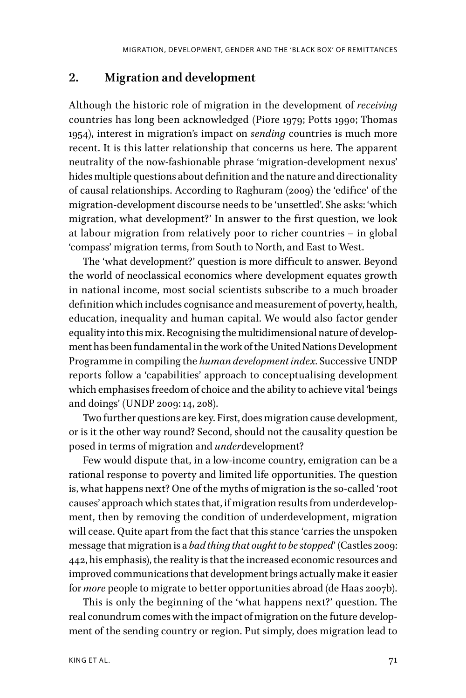#### **2. Migration and development**

Although the historic role of migration in the development of *receiving* countries has long been acknowledged (Piore 1979; Potts 1990; Thomas 1954), interest in migration's impact on *sending* countries is much more recent. It is this latter relationship that concerns us here. The apparent neutrality of the now-fashionable phrase 'migration-development nexus' hides multiple questions about definition and the nature and directionality of causal relationships. According to Raghuram (2009) the 'edifice' of the migration-development discourse needs to be 'unsettled'. She asks: 'which migration, what development?' In answer to the first question, we look at labour migration from relatively poor to richer countries – in global 'compass' migration terms, from South to North, and East to West.

The 'what development?' question is more difficult to answer. Beyond the world of neoclassical economics where development equates growth in national income, most social scientists subscribe to a much broader definition which includes cognisance and measurement of poverty, health, education, inequality and human capital. We would also factor gender equality into this mix. Recognising the multidimensional nature of development has been fundamental in the work of the United Nations Development Programme in compiling the *human development index.* Successive UNDP reports follow a 'capabilities' approach to conceptualising development which emphasises freedom of choice and the ability to achieve vital 'beings and doings' (UNDP 2009: 14, 208).

Two further questions are key. First, does migration cause development, or is it the other way round? Second, should not the causality question be posed in terms of migration and *under*development?

Few would dispute that, in a low-income country, emigration can be a rational response to poverty and limited life opportunities. The question is, what happens next? One of the myths of migration is the so-called 'root causes' approach which states that, if migration results from underdevelopment, then by removing the condition of underdevelopment, migration will cease. Quite apart from the fact that this stance 'carries the unspoken message that migration is a *bad thing that ought to be stopped*' (Castles 2009: 442, his emphasis), the reality is that the increased economic resources and improved communications that development brings actually make it easier for *more* people to migrate to better opportunities abroad (de Haas 2007b).

This is only the beginning of the 'what happens next?' question. The real conundrum comes with the impact of migration on the future development of the sending country or region. Put simply, does migration lead to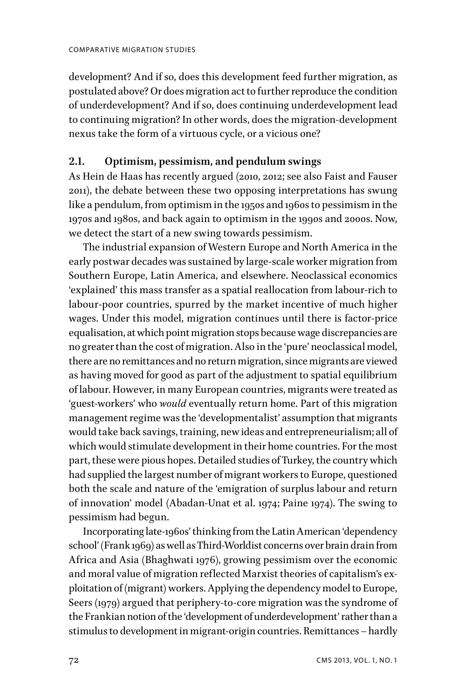development? And if so, does this development feed further migration, as postulated above? Or does migration act to further reproduce the condition of underdevelopment? And if so, does continuing underdevelopment lead to continuing migration? In other words, does the migration-development nexus take the form of a virtuous cycle, or a vicious one?

### **2.1. Optimism, pessimism, and pendulum swings**

As Hein de Haas has recently argued (2010, 2012; see also Faist and Fauser 2011), the debate between these two opposing interpretations has swung like a pendulum, from optimism in the 1950s and 1960s to pessimism in the 1970s and 1980s, and back again to optimism in the 1990s and 2000s. Now, we detect the start of a new swing towards pessimism.

The industrial expansion of Western Europe and North America in the early postwar decades was sustained by large-scale worker migration from Southern Europe, Latin America, and elsewhere. Neoclassical economics 'explained' this mass transfer as a spatial reallocation from labour-rich to labour-poor countries, spurred by the market incentive of much higher wages. Under this model, migration continues until there is factor-price equalisation, at which point migration stops because wage discrepancies are no greater than the cost of migration. Also in the 'pure' neoclassical model, there are no remittances and no return migration, since migrants are viewed as having moved for good as part of the adjustment to spatial equilibrium of labour. However, in many European countries, migrants were treated as 'guest-workers' who *would* eventually return home. Part of this migration management regime was the 'developmentalist' assumption that migrants would take back savings, training, new ideas and entrepreneurialism; all of which would stimulate development in their home countries. For the most part, these were pious hopes. Detailed studies of Turkey, the country which had supplied the largest number of migrant workers to Europe, questioned both the scale and nature of the 'emigration of surplus labour and return of innovation' model (Abadan-Unat et al. 1974; Paine 1974). The swing to pessimism had begun.

Incorporating late-1960s' thinking from the Latin American 'dependency school' (Frank 1969) as well as Third-Worldist concerns over brain drain from Africa and Asia (Bhaghwati 1976), growing pessimism over the economic and moral value of migration reflected Marxist theories of capitalism's exploitation of (migrant) workers. Applying the dependency model to Europe, Seers (1979) argued that periphery-to-core migration was the syndrome of the Frankian notion of the 'development of underdevelopment' rather than a stimulus to development in migrant-origin countries. Remittances – hardly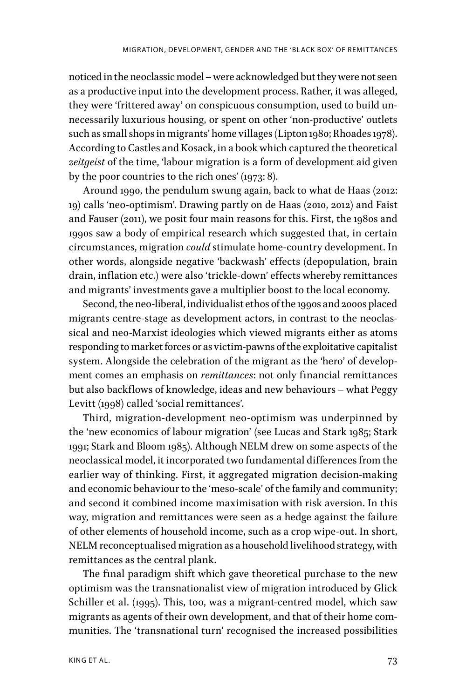noticed in the neoclassic model – were acknowledged but they were not seen as a productive input into the development process. Rather, it was alleged, they were 'frittered away' on conspicuous consumption, used to build unnecessarily luxurious housing, or spent on other 'non-productive' outlets such as small shops in migrants' home villages (Lipton 1980; Rhoades 1978). According to Castles and Kosack, in a book which captured the theoretical *zeitgeist* of the time, 'labour migration is a form of development aid given by the poor countries to the rich ones' (1973: 8).

Around 1990, the pendulum swung again, back to what de Haas (2012: 19) calls 'neo-optimism'. Drawing partly on de Haas (2010, 2012) and Faist and Fauser (2011), we posit four main reasons for this. First, the 1980s and 1990s saw a body of empirical research which suggested that, in certain circumstances, migration *could* stimulate home-country development. In other words, alongside negative 'backwash' effects (depopulation, brain drain, inflation etc.) were also 'trickle-down' effects whereby remittances and migrants' investments gave a multiplier boost to the local economy.

Second, the neo-liberal, individualist ethos of the 1990s and 2000s placed migrants centre-stage as development actors, in contrast to the neoclassical and neo-Marxist ideologies which viewed migrants either as atoms responding to market forces or as victim-pawns of the exploitative capitalist system. Alongside the celebration of the migrant as the 'hero' of development comes an emphasis on *remittances*: not only financial remittances but also backflows of knowledge, ideas and new behaviours – what Peggy Levitt (1998) called 'social remittances'.

Third, migration-development neo-optimism was underpinned by the 'new economics of labour migration' (see Lucas and Stark 1985; Stark 1991; Stark and Bloom 1985). Although NELM drew on some aspects of the neoclassical model, it incorporated two fundamental differences from the earlier way of thinking. First, it aggregated migration decision-making and economic behaviour to the 'meso-scale' of the family and community; and second it combined income maximisation with risk aversion. In this way, migration and remittances were seen as a hedge against the failure of other elements of household income, such as a crop wipe-out. In short, NELM reconceptualised migration as a household livelihood strategy, with remittances as the central plank.

The final paradigm shift which gave theoretical purchase to the new optimism was the transnationalist view of migration introduced by Glick Schiller et al. (1995). This, too, was a migrant-centred model, which saw migrants as agents of their own development, and that of their home communities. The 'transnational turn' recognised the increased possibilities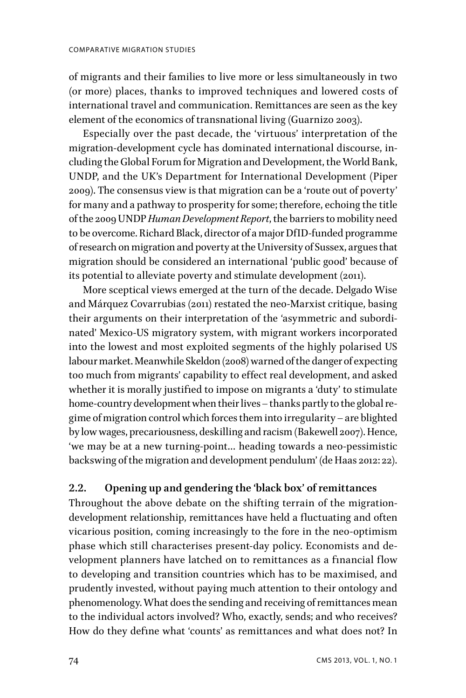of migrants and their families to live more or less simultaneously in two (or more) places, thanks to improved techniques and lowered costs of international travel and communication. Remittances are seen as the key element of the economics of transnational living (Guarnizo 2003).

Especially over the past decade, the 'virtuous' interpretation of the migration-development cycle has dominated international discourse, including the Global Forum for Migration and Development, the World Bank, UNDP, and the UK's Department for International Development (Piper 2009). The consensus view is that migration can be a 'route out of poverty' for many and a pathway to prosperity for some; therefore, echoing the title of the 2009 UNDP *Human Development Report*, the barriers to mobility need to be overcome. Richard Black, director of a major DfID-funded programme of research on migration and poverty at the University of Sussex, argues that migration should be considered an international 'public good' because of its potential to alleviate poverty and stimulate development (2011).

More sceptical views emerged at the turn of the decade. Delgado Wise and Márquez Covarrubias (2011) restated the neo-Marxist critique, basing their arguments on their interpretation of the 'asymmetric and subordinated' Mexico-US migratory system, with migrant workers incorporated into the lowest and most exploited segments of the highly polarised US labour market. Meanwhile Skeldon (2008) warned of the danger of expecting too much from migrants' capability to effect real development, and asked whether it is morally justified to impose on migrants a 'duty' to stimulate home-country development when their lives – thanks partly to the global regime of migration control which forces them into irregularity – are blighted by low wages, precariousness, deskilling and racism (Bakewell 2007). Hence, 'we may be at a new turning-point… heading towards a neo-pessimistic backswing of the migration and development pendulum' (de Haas 2012: 22).

#### **2.2. Opening up and gendering the 'black box' of remittances**

Throughout the above debate on the shifting terrain of the migrationdevelopment relationship, remittances have held a fluctuating and often vicarious position, coming increasingly to the fore in the neo-optimism phase which still characterises present-day policy. Economists and development planners have latched on to remittances as a financial flow to developing and transition countries which has to be maximised, and prudently invested, without paying much attention to their ontology and phenomenology. What does the sending and receiving of remittances mean to the individual actors involved? Who, exactly, sends; and who receives? How do they define what 'counts' as remittances and what does not? In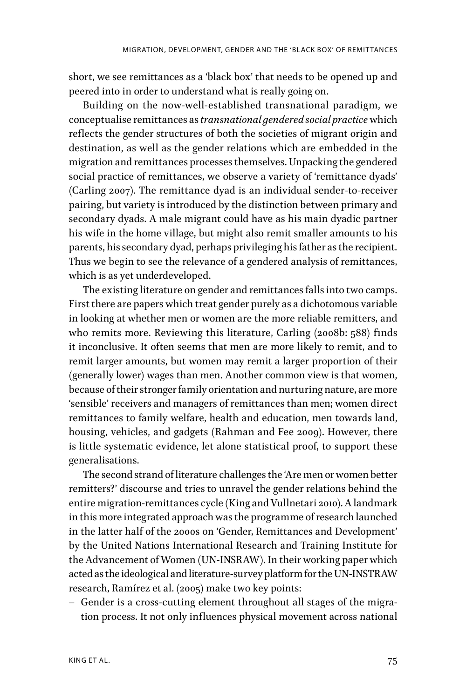short, we see remittances as a 'black box' that needs to be opened up and peered into in order to understand what is really going on.

Building on the now-well-established transnational paradigm, we conceptualise remittances as *transnational gendered social practice* which reflects the gender structures of both the societies of migrant origin and destination, as well as the gender relations which are embedded in the migration and remittances processes themselves. Unpacking the gendered social practice of remittances, we observe a variety of 'remittance dyads' (Carling 2007). The remittance dyad is an individual sender-to-receiver pairing, but variety is introduced by the distinction between primary and secondary dyads. A male migrant could have as his main dyadic partner his wife in the home village, but might also remit smaller amounts to his parents, his secondary dyad, perhaps privileging his father as the recipient. Thus we begin to see the relevance of a gendered analysis of remittances, which is as yet underdeveloped.

The existing literature on gender and remittances falls into two camps. First there are papers which treat gender purely as a dichotomous variable in looking at whether men or women are the more reliable remitters, and who remits more. Reviewing this literature, Carling (2008b: 588) finds it inconclusive. It often seems that men are more likely to remit, and to remit larger amounts, but women may remit a larger proportion of their (generally lower) wages than men. Another common view is that women, because of their stronger family orientation and nurturing nature, are more 'sensible' receivers and managers of remittances than men; women direct remittances to family welfare, health and education, men towards land, housing, vehicles, and gadgets (Rahman and Fee 2009). However, there is little systematic evidence, let alone statistical proof, to support these generalisations.

The second strand of literature challenges the 'Are men or women better remitters?' discourse and tries to unravel the gender relations behind the entire migration-remittances cycle (King and Vullnetari 2010). A landmark in this more integrated approach was the programme of research launched in the latter half of the 2000s on 'Gender, Remittances and Development' by the United Nations International Research and Training Institute for the Advancement of Women (UN-INSRAW). In their working paper which acted as the ideological and literature-survey platform for the UN-INSTRAW research, Ramírez et al. (2005) make two key points:

– Gender is a cross-cutting element throughout all stages of the migration process. It not only influences physical movement across national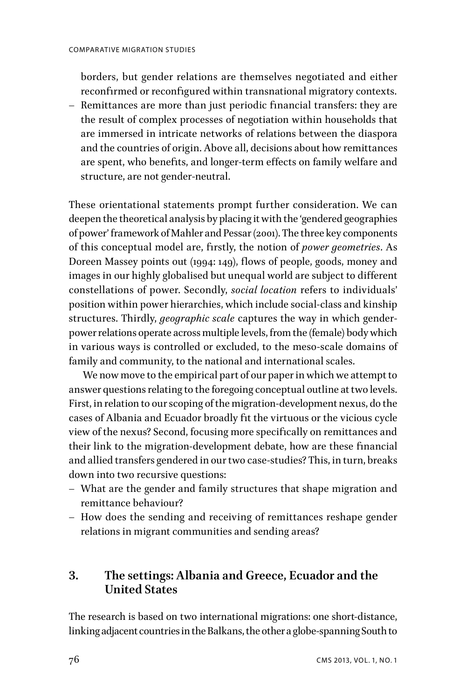borders, but gender relations are themselves negotiated and either reconfirmed or reconfigured within transnational migratory contexts.

– Remittances are more than just periodic financial transfers: they are the result of complex processes of negotiation within households that are immersed in intricate networks of relations between the diaspora and the countries of origin. Above all, decisions about how remittances are spent, who benefits, and longer-term effects on family welfare and structure, are not gender-neutral.

These orientational statements prompt further consideration. We can deepen the theoretical analysis by placing it with the 'gendered geographies of power' framework of Mahler and Pessar (2001). The three key components of this conceptual model are, firstly, the notion of *power geometries*. As Doreen Massey points out (1994: 149), flows of people, goods, money and images in our highly globalised but unequal world are subject to different constellations of power. Secondly, *social location* refers to individuals' position within power hierarchies, which include social-class and kinship structures. Thirdly, *geographic scale* captures the way in which genderpower relations operate across multiple levels, from the (female) body which in various ways is controlled or excluded, to the meso-scale domains of family and community, to the national and international scales.

We now move to the empirical part of our paper in which we attempt to answer questions relating to the foregoing conceptual outline at two levels. First, in relation to our scoping of the migration-development nexus, do the cases of Albania and Ecuador broadly fit the virtuous or the vicious cycle view of the nexus? Second, focusing more specifically on remittances and their link to the migration-development debate, how are these financial and allied transfers gendered in our two case-studies? This, in turn, breaks down into two recursive questions:

- What are the gender and family structures that shape migration and remittance behaviour?
- How does the sending and receiving of remittances reshape gender relations in migrant communities and sending areas?

## **3. The settings: Albania and Greece, Ecuador and the United States**

The research is based on two international migrations: one short-distance, linking adjacent countries in the Balkans, the other a globe-spanning South to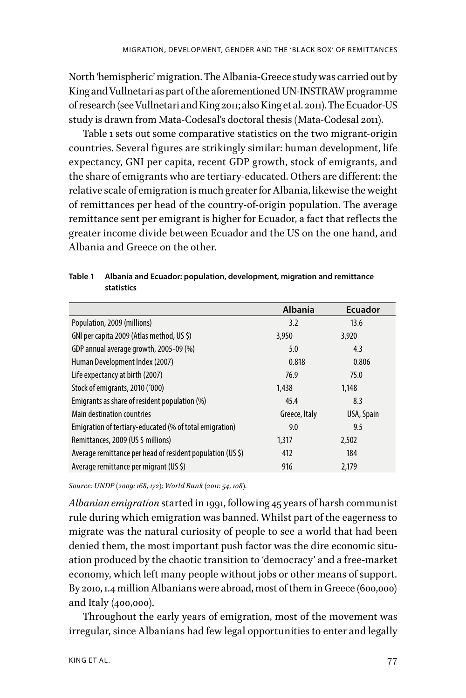North 'hemispheric' migration. The Albania-Greece study was carried out by King and Vullnetari as part of the aforementioned UN-INSTRAW programme of research (see Vullnetari and King 2011; also King et al. 2011). The Ecuador-US study is drawn from Mata-Codesal's doctoral thesis (Mata-Codesal 2011).

Table 1 sets out some comparative statistics on the two migrant-origin countries. Several figures are strikingly similar: human development, life expectancy, GNI per capita, recent GDP growth, stock of emigrants, and the share of emigrants who are tertiary-educated. Others are different: the relative scale of emigration is much greater for Albania, likewise the weight of remittances per head of the country-of-origin population. The average remittance sent per emigrant is higher for Ecuador, a fact that reflects the greater income divide between Ecuador and the US on the one hand, and Albania and Greece on the other.

|                                                            | <b>Albania</b> | <b>Ecuador</b> |
|------------------------------------------------------------|----------------|----------------|
| Population, 2009 (millions)                                | 3.2            | 13.6           |
| GNI per capita 2009 (Atlas method, US \$)                  | 3,950          | 3,920          |
| GDP annual average growth, 2005-09 (%)                     | 5.0            | 4.3            |
| Human Development Index (2007)                             | 0.818          | 0.806          |
| Life expectancy at birth (2007)                            | 76.9           | 75.0           |
| Stock of emigrants, 2010 ('000)                            | 1,438          | 1.148          |
| Emigrants as share of resident population (%)              | 45.4           | 8.3            |
| Main destination countries                                 | Greece, Italy  | USA, Spain     |
| Emigration of tertiary-educated (% of total emigration)    | 9.0            | 9.5            |
| Remittances, 2009 (US \$ millions)                         | 1,317          | 2,502          |
| Average remittance per head of resident population (US \$) | 412            | 184            |
| Average remittance per migrant (US \$)                     | 916            | 2.179          |

**Table 1 Albania and Ecuador: population, development, migration and remittance statistics**

*Source: UNDP (2009: 168, 172); World Bank (2011: 54, 108).*

*Albanian emigration* started in 1991, following 45 years of harsh communist rule during which emigration was banned. Whilst part of the eagerness to migrate was the natural curiosity of people to see a world that had been denied them, the most important push factor was the dire economic situation produced by the chaotic transition to 'democracy' and a free-market economy, which left many people without jobs or other means of support. By 2010, 1.4 million Albanians were abroad, most of them in Greece (600,000) and Italy (400,000).

Throughout the early years of emigration, most of the movement was irregular, since Albanians had few legal opportunities to enter and legally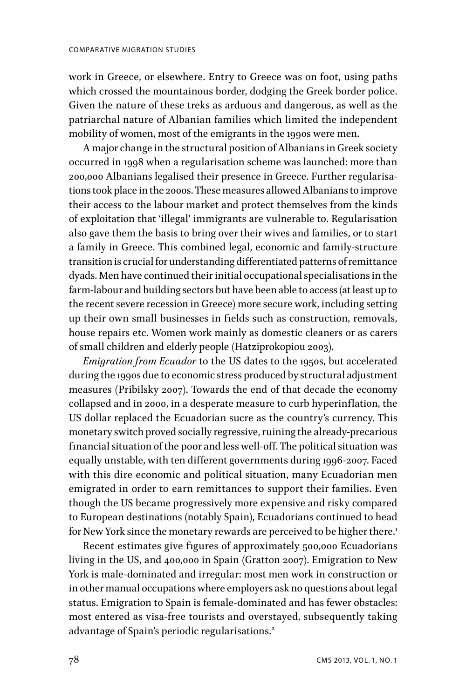work in Greece, or elsewhere. Entry to Greece was on foot, using paths which crossed the mountainous border, dodging the Greek border police. Given the nature of these treks as arduous and dangerous, as well as the patriarchal nature of Albanian families which limited the independent mobility of women, most of the emigrants in the 1990s were men.

A major change in the structural position of Albanians in Greek society occurred in 1998 when a regularisation scheme was launched: more than 200,000 Albanians legalised their presence in Greece. Further regularisations took place in the 2000s. These measures allowed Albanians to improve their access to the labour market and protect themselves from the kinds of exploitation that 'illegal' immigrants are vulnerable to. Regularisation also gave them the basis to bring over their wives and families, or to start a family in Greece. This combined legal, economic and family-structure transition is crucial for understanding diffferentiated patterns of remittance dyads. Men have continued their initial occupational specialisations in the farm-labour and building sectors but have been able to access (at least up to the recent severe recession in Greece) more secure work, including setting up their own small businesses in fields such as construction, removals, house repairs etc. Women work mainly as domestic cleaners or as carers of small children and elderly people (Hatziprokopiou 2003).

*Emigration from Ecuador* to the US dates to the 1950s, but accelerated during the 1990s due to economic stress produced by structural adjustment measures (Pribilsky 2007). Towards the end of that decade the economy collapsed and in 2000, in a desperate measure to curb hyperinflation, the US dollar replaced the Ecuadorian sucre as the country's currency. This monetary switch proved socially regressive, ruining the already-precarious financial situation of the poor and less well-off. The political situation was equally unstable, with ten different governments during 1996-2007. Faced with this dire economic and political situation, many Ecuadorian men emigrated in order to earn remittances to support their families. Even though the US became progressively more expensive and risky compared to European destinations (notably Spain), Ecuadorians continued to head for New York since the monetary rewards are perceived to be higher there.<sup>1</sup>

Recent estimates give figures of approximately 500,000 Ecuadorians living in the US, and 400,000 in Spain (Gratton 2007). Emigration to New York is male-dominated and irregular: most men work in construction or in other manual occupations where employers ask no questions about legal status. Emigration to Spain is female-dominated and has fewer obstacles: most entered as visa-free tourists and overstayed, subsequently taking advantage of Spain's periodic regularisations.<sup>2</sup>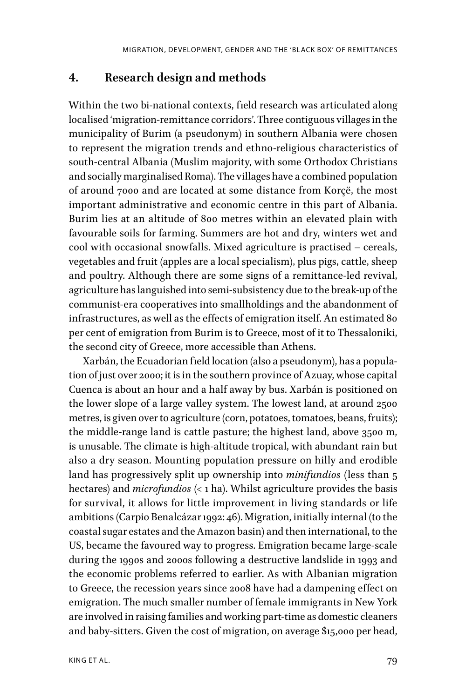### **4. Research design and methods**

Within the two bi-national contexts, field research was articulated along localised 'migration-remittance corridors'. Three contiguous villages in the municipality of Burim (a pseudonym) in southern Albania were chosen to represent the migration trends and ethno-religious characteristics of south-central Albania (Muslim majority, with some Orthodox Christians and socially marginalised Roma). The villages have a combined population of around 7000 and are located at some distance from Korçë, the most important administrative and economic centre in this part of Albania. Burim lies at an altitude of 800 metres within an elevated plain with favourable soils for farming. Summers are hot and dry, winters wet and cool with occasional snowfalls. Mixed agriculture is practised – cereals, vegetables and fruit (apples are a local specialism), plus pigs, cattle, sheep and poultry. Although there are some signs of a remittance-led revival, agriculture has languished into semi-subsistency due to the break-up of the communist-era cooperatives into smallholdings and the abandonment of infrastructures, as well as the effects of emigration itself. An estimated 80 per cent of emigration from Burim is to Greece, most of it to Thessaloniki, the second city of Greece, more accessible than Athens.

Xarbán, the Ecuadorian field location (also a pseudonym), has a population of just over 2000; it is in the southern province of Azuay, whose capital Cuenca is about an hour and a half away by bus. Xarbán is positioned on the lower slope of a large valley system. The lowest land, at around 2500 metres, is given over to agriculture (corn, potatoes, tomatoes, beans, fruits); the middle-range land is cattle pasture; the highest land, above 3500 m, is unusable. The climate is high-altitude tropical, with abundant rain but also a dry season. Mounting population pressure on hilly and erodible land has progressively split up ownership into *minifundios* (less than 5 hectares) and *microfundios* (< 1 ha). Whilst agriculture provides the basis for survival, it allows for little improvement in living standards or life ambitions (Carpio Benalcázar 1992: 46). Migration, initially internal (to the coastal sugar estates and the Amazon basin) and then international, to the US, became the favoured way to progress. Emigration became large-scale during the 1990s and 2000s following a destructive landslide in 1993 and the economic problems referred to earlier. As with Albanian migration to Greece, the recession years since 2008 have had a dampening efffect on emigration. The much smaller number of female immigrants in New York are involved in raising families and working part-time as domestic cleaners and baby-sitters. Given the cost of migration, on average \$15,000 per head,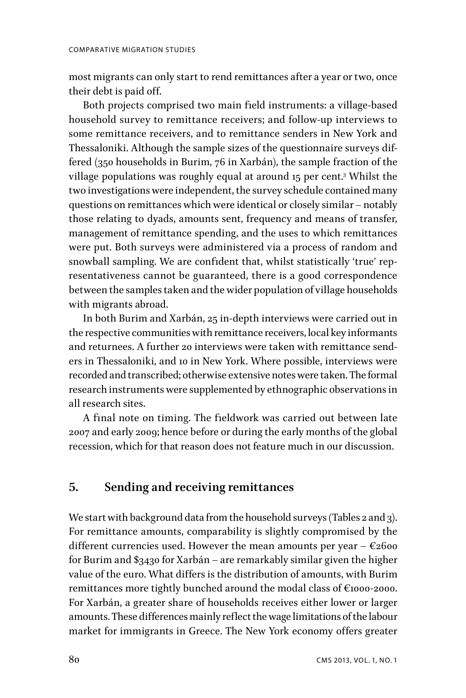most migrants can only start to rend remittances after a year or two, once their debt is paid off.

Both projects comprised two main field instruments: a village-based household survey to remittance receivers; and follow-up interviews to some remittance receivers, and to remittance senders in New York and Thessaloniki. Although the sample sizes of the questionnaire surveys differed (350 households in Burim, 76 in Xarbán), the sample fraction of the village populations was roughly equal at around 15 per cent.<sup>3</sup> Whilst the two investigations were independent, the survey schedule contained many questions on remittances which were identical or closely similar – notably those relating to dyads, amounts sent, frequency and means of transfer, management of remittance spending, and the uses to which remittances were put. Both surveys were administered via a process of random and snowball sampling. We are confident that, whilst statistically 'true' representativeness cannot be guaranteed, there is a good correspondence between the samples taken and the wider population of village households with migrants abroad.

In both Burim and Xarbán, 25 in-depth interviews were carried out in the respective communities with remittance receivers, local key informants and returnees. A further 20 interviews were taken with remittance senders in Thessaloniki, and 10 in New York. Where possible, interviews were recorded and transcribed; otherwise extensive notes were taken. The formal research instruments were supplemented by ethnographic observations in all research sites.

A final note on timing. The fieldwork was carried out between late 2007 and early 2009; hence before or during the early months of the global recession, which for that reason does not feature much in our discussion.

### **5. Sending and receiving remittances**

We start with background data from the household surveys (Tables 2 and 3). For remittance amounts, comparability is slightly compromised by the different currencies used. However the mean amounts per year  $- \epsilon_2$ 600 for Burim and \$3430 for Xarbán – are remarkably similar given the higher value of the euro. What difffers is the distribution of amounts, with Burim remittances more tightly bunched around the modal class of €1000-2000. For Xarbán, a greater share of households receives either lower or larger amounts. These diffferences mainly reflect the wage limitations of the labour market for immigrants in Greece. The New York economy offers greater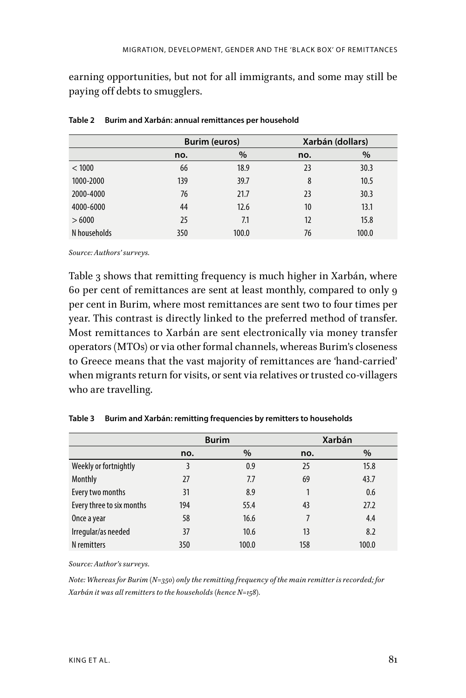earning opportunities, but not for all immigrants, and some may still be paying off debts to smugglers.

|              | <b>Burim (euros)</b> |       | Xarbán (dollars) |       |
|--------------|----------------------|-------|------------------|-------|
|              | no.                  | %     | no.              | $\%$  |
| < 1000       | 66                   | 18.9  | 23               | 30.3  |
| 1000-2000    | 139                  | 39.7  | 8                | 10.5  |
| 2000-4000    | 76                   | 21.7  | 23               | 30.3  |
| 4000-6000    | 44                   | 12.6  | 10               | 13.1  |
| >6000        | 25                   | 7.1   | 12               | 15.8  |
| N households | 350                  | 100.0 | 76               | 100.0 |

| Table 2 Burim and Xarbán: annual remittances per household |  |
|------------------------------------------------------------|--|
|                                                            |  |

*Source: Authors' surveys.*

Table 3 shows that remitting frequency is much higher in Xarbán, where 60 per cent of remittances are sent at least monthly, compared to only 9 per cent in Burim, where most remittances are sent two to four times per year. This contrast is directly linked to the preferred method of transfer. Most remittances to Xarbán are sent electronically via money transfer operators (MTOs) or via other formal channels, whereas Burim's closeness to Greece means that the vast majority of remittances are 'hand-carried' when migrants return for visits, or sent via relatives or trusted co-villagers who are travelling.

|                           | <b>Burim</b> |       | Xarbán |       |
|---------------------------|--------------|-------|--------|-------|
|                           | no.          | $\%$  | no.    | $\%$  |
| Weekly or fortnightly     |              | 0.9   | 25     | 15.8  |
| Monthly                   | 27           | 7.7   | 69     | 43.7  |
| Every two months          | 31           | 8.9   |        | 0.6   |
| Every three to six months | 194          | 55.4  | 43     | 27.2  |
| Once a year               | 58           | 16.6  | 7      | 4.4   |
| Irregular/as needed       | 37           | 10.6  | 13     | 8.2   |
| N remitters               | 350          | 100.0 | 158    | 100.0 |

**Table 3 Burim and Xarbán: remitting frequencies by remitters to households**

*Source: Author's surveys.* 

*Note: Whereas for Burim (N=350) only the remitting frequency of the main remitter is recorded; for Xarbán it was all remitters to the households (hence N=158).*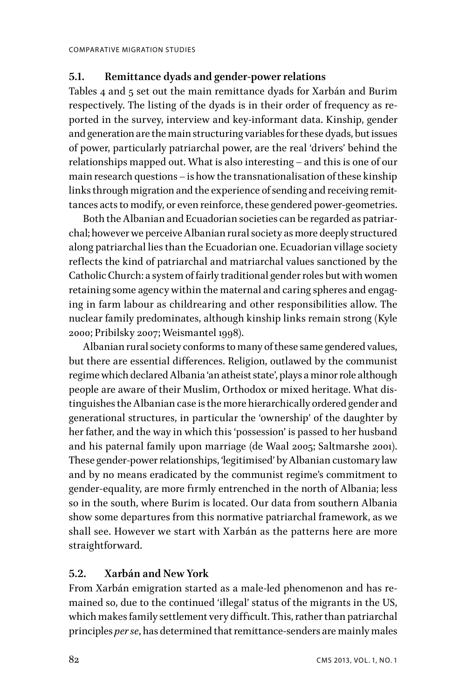### **5.1. Remittance dyads and gender-power relations**

Tables 4 and 5 set out the main remittance dyads for Xarbán and Burim respectively. The listing of the dyads is in their order of frequency as reported in the survey, interview and key-informant data. Kinship, gender and generation are the main structuring variables for these dyads, but issues of power, particularly patriarchal power, are the real 'drivers' behind the relationships mapped out. What is also interesting – and this is one of our main research questions – is how the transnationalisation of these kinship links through migration and the experience of sending and receiving remittances acts to modify, or even reinforce, these gendered power-geometries.

Both the Albanian and Ecuadorian societies can be regarded as patriarchal; however we perceive Albanian rural society as more deeply structured along patriarchal lies than the Ecuadorian one. Ecuadorian village society reflects the kind of patriarchal and matriarchal values sanctioned by the Catholic Church: a system of fairly traditional gender roles but with women retaining some agency within the maternal and caring spheres and engaging in farm labour as childrearing and other responsibilities allow. The nuclear family predominates, although kinship links remain strong (Kyle 2000; Pribilsky 2007; Weismantel 1998).

Albanian rural society conforms to many of these same gendered values, but there are essential diffferences. Religion, outlawed by the communist regime which declared Albania 'an atheist state', plays a minor role although people are aware of their Muslim, Orthodox or mixed heritage. What distinguishes the Albanian case is the more hierarchically ordered gender and generational structures, in particular the 'ownership' of the daughter by her father, and the way in which this 'possession' is passed to her husband and his paternal family upon marriage (de Waal 2005; Saltmarshe 2001). These gender-power relationships, 'legitimised' by Albanian customary law and by no means eradicated by the communist regime's commitment to gender-equality, are more firmly entrenched in the north of Albania; less so in the south, where Burim is located. Our data from southern Albania show some departures from this normative patriarchal framework, as we shall see. However we start with Xarbán as the patterns here are more straightforward.

#### **5.2. Xarbán and New York**

From Xarbán emigration started as a male-led phenomenon and has remained so, due to the continued 'illegal' status of the migrants in the US, which makes family settlement very difficult. This, rather than patriarchal principles *per se*, has determined that remittance-senders are mainly males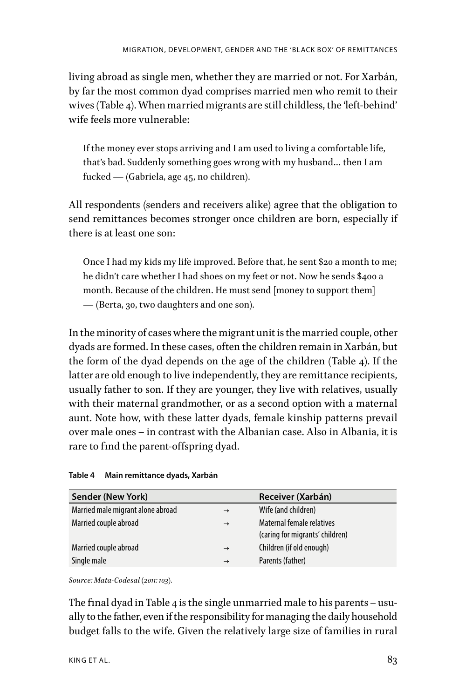living abroad as single men, whether they are married or not. For Xarbán, by far the most common dyad comprises married men who remit to their wives (Table 4). When married migrants are still childless, the 'left-behind' wife feels more vulnerable:

If the money ever stops arriving and I am used to living a comfortable life, that's bad. Suddenly something goes wrong with my husband… then I am fucked — (Gabriela, age 45, no children).

All respondents (senders and receivers alike) agree that the obligation to send remittances becomes stronger once children are born, especially if there is at least one son:

Once I had my kids my life improved. Before that, he sent \$20 a month to me; he didn't care whether I had shoes on my feet or not. Now he sends \$400 a month. Because of the children. He must send [money to support them] — (Berta, 30, two daughters and one son).

In the minority of cases where the migrant unit is the married couple, other dyads are formed. In these cases, often the children remain in Xarbán, but the form of the dyad depends on the age of the children (Table 4). If the latter are old enough to live independently, they are remittance recipients, usually father to son. If they are younger, they live with relatives, usually with their maternal grandmother, or as a second option with a maternal aunt. Note how, with these latter dyads, female kinship patterns prevail over male ones – in contrast with the Albanian case. Also in Albania, it is rare to find the parent-offspring dyad.

| Table 4 |  | Main remittance dyads, Xarbán |  |  |
|---------|--|-------------------------------|--|--|
|---------|--|-------------------------------|--|--|

| Sender (New York)                 |               | Receiver (Xarbán)                                            |
|-----------------------------------|---------------|--------------------------------------------------------------|
| Married male migrant alone abroad | $\rightarrow$ | Wife (and children)                                          |
| Married couple abroad             | $\rightarrow$ | Maternal female relatives<br>(caring for migrants' children) |
| Married couple abroad             | $\rightarrow$ | Children (if old enough)                                     |
| Single male                       | $\rightarrow$ | Parents (father)                                             |

*Source: Mata-Codesal (2011: 103).*

The final dyad in Table 4 is the single unmarried male to his parents – usually to the father, even if the responsibility for managing the daily household budget falls to the wife. Given the relatively large size of families in rural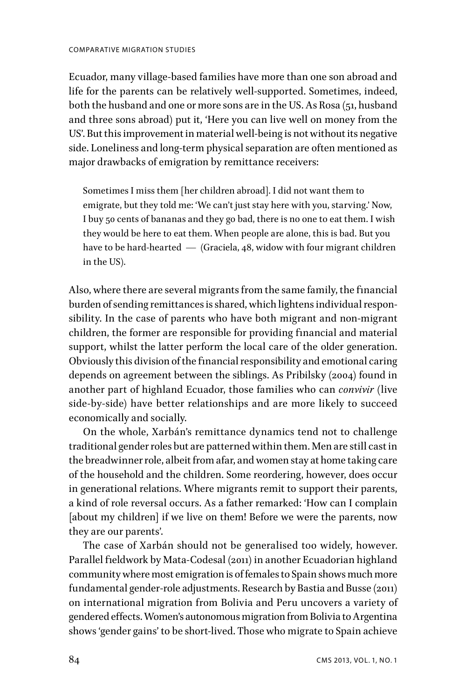Ecuador, many village-based families have more than one son abroad and life for the parents can be relatively well-supported. Sometimes, indeed, both the husband and one or more sons are in the US. As Rosa (51, husband and three sons abroad) put it, 'Here you can live well on money from the US'. But this improvement in material well-being is not without its negative side. Loneliness and long-term physical separation are often mentioned as major drawbacks of emigration by remittance receivers:

Sometimes I miss them [her children abroad]. I did not want them to emigrate, but they told me: 'We can't just stay here with you, starving.' Now, I buy 50 cents of bananas and they go bad, there is no one to eat them. I wish they would be here to eat them. When people are alone, this is bad. But you have to be hard-hearted — (Graciela, 48, widow with four migrant children in the US).

Also, where there are several migrants from the same family, the financial burden of sending remittances is shared, which lightens individual responsibility. In the case of parents who have both migrant and non-migrant children, the former are responsible for providing financial and material support, whilst the latter perform the local care of the older generation. Obviously this division of the financial responsibility and emotional caring depends on agreement between the siblings. As Pribilsky (2004) found in another part of highland Ecuador, those families who can *convivir* (live side-by-side) have better relationships and are more likely to succeed economically and socially.

On the whole, Xarbán's remittance dynamics tend not to challenge traditional gender roles but are patterned within them. Men are still cast in the breadwinner role, albeit from afar, and women stay at home taking care of the household and the children. Some reordering, however, does occur in generational relations. Where migrants remit to support their parents, a kind of role reversal occurs. As a father remarked: 'How can I complain [about my children] if we live on them! Before we were the parents, now they are our parents'.

The case of Xarbán should not be generalised too widely, however. Parallel fieldwork by Mata-Codesal (2011) in another Ecuadorian highland community where most emigration is of females to Spain shows much more fundamental gender-role adjustments. Research by Bastia and Busse (2011) on international migration from Bolivia and Peru uncovers a variety of gendered efffects. Women's autonomous migration from Bolivia to Argentina shows 'gender gains' to be short-lived. Those who migrate to Spain achieve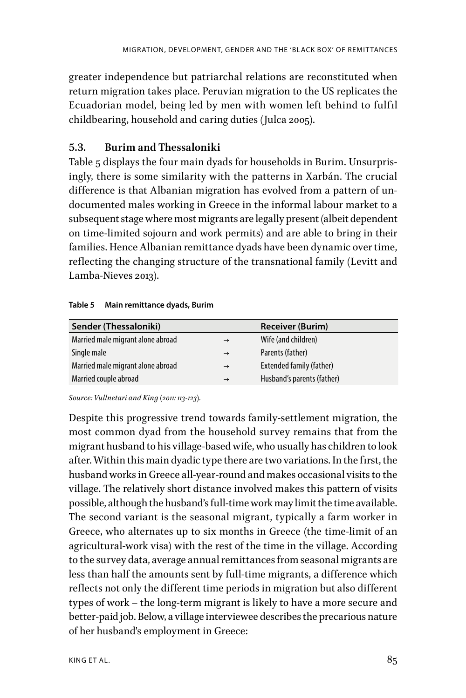greater independence but patriarchal relations are reconstituted when return migration takes place. Peruvian migration to the US replicates the Ecuadorian model, being led by men with women left behind to fulfil childbearing, household and caring duties (Julca 2005).

### **5.3. Burim and Thessaloniki**

Table 5 displays the four main dyads for households in Burim. Unsurprisingly, there is some similarity with the patterns in Xarbán. The crucial diffference is that Albanian migration has evolved from a pattern of undocumented males working in Greece in the informal labour market to a subsequent stage where most migrants are legally present (albeit dependent on time-limited sojourn and work permits) and are able to bring in their families. Hence Albanian remittance dyads have been dynamic over time, reflecting the changing structure of the transnational family (Levitt and Lamba-Nieves 2013).

#### **Table 5 Main remittance dyads, Burim**

| Sender (Thessaloniki)             |               | <b>Receiver (Burim)</b>    |
|-----------------------------------|---------------|----------------------------|
| Married male migrant alone abroad | $\rightarrow$ | Wife (and children)        |
| Single male                       | $\rightarrow$ | Parents (father)           |
| Married male migrant alone abroad | $\rightarrow$ | Extended family (father)   |
| Married couple abroad             | $\rightarrow$ | Husband's parents (father) |

*Source: Vullnetari and King (2011: 113-123).*

Despite this progressive trend towards family-settlement migration, the most common dyad from the household survey remains that from the migrant husband to his village-based wife, who usually has children to look after. Within this main dyadic type there are two variations. In the first, the husband works in Greece all-year-round and makes occasional visits to the village. The relatively short distance involved makes this pattern of visits possible, although the husband's full-time work may limit the time available. The second variant is the seasonal migrant, typically a farm worker in Greece, who alternates up to six months in Greece (the time-limit of an agricultural-work visa) with the rest of the time in the village. According to the survey data, average annual remittances from seasonal migrants are less than half the amounts sent by full-time migrants, a difference which reflects not only the different time periods in migration but also different types of work – the long-term migrant is likely to have a more secure and better-paid job. Below, a village interviewee describes the precarious nature of her husband's employment in Greece: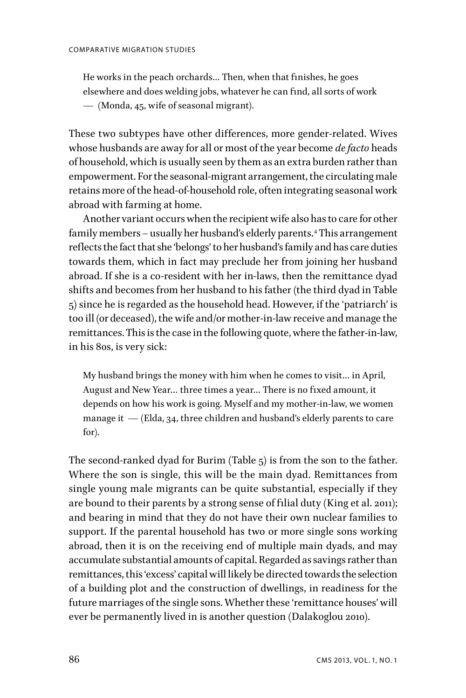He works in the peach orchards... Then, when that finishes, he goes elsewhere and does welding jobs, whatever he can find, all sorts of work — (Monda, 45, wife of seasonal migrant).

These two subtypes have other differences, more gender-related. Wives whose husbands are away for all or most of the year become *de facto* heads of household, which is usually seen by them as an extra burden rather than empowerment. For the seasonal-migrant arrangement, the circulating male retains more of the head-of-household role, often integrating seasonal work abroad with farming at home.

Another variant occurs when the recipient wife also has to care for other family members – usually her husband's elderly parents.4 This arrangement reflects the fact that she 'belongs' to her husband's family and has care duties towards them, which in fact may preclude her from joining her husband abroad. If she is a co-resident with her in-laws, then the remittance dyad shifts and becomes from her husband to his father (the third dyad in Table 5) since he is regarded as the household head. However, if the 'patriarch' is too ill (or deceased), the wife and/or mother-in-law receive and manage the remittances. This is the case in the following quote, where the father-in-law, in his 80s, is very sick:

My husband brings the money with him when he comes to visit… in April, August and New Year... three times a year... There is no fixed amount, it depends on how his work is going. Myself and my mother-in-law, we women manage it  $-$  (Elda, 34, three children and husband's elderly parents to care for).

The second-ranked dyad for Burim (Table 5) is from the son to the father. Where the son is single, this will be the main dyad. Remittances from single young male migrants can be quite substantial, especially if they are bound to their parents by a strong sense of filial duty (King et al. 2011); and bearing in mind that they do not have their own nuclear families to support. If the parental household has two or more single sons working abroad, then it is on the receiving end of multiple main dyads, and may accumulate substantial amounts of capital. Regarded as savings rather than remittances, this 'excess' capital will likely be directed towards the selection of a building plot and the construction of dwellings, in readiness for the future marriages of the single sons. Whether these 'remittance houses' will ever be permanently lived in is another question (Dalakoglou 2010).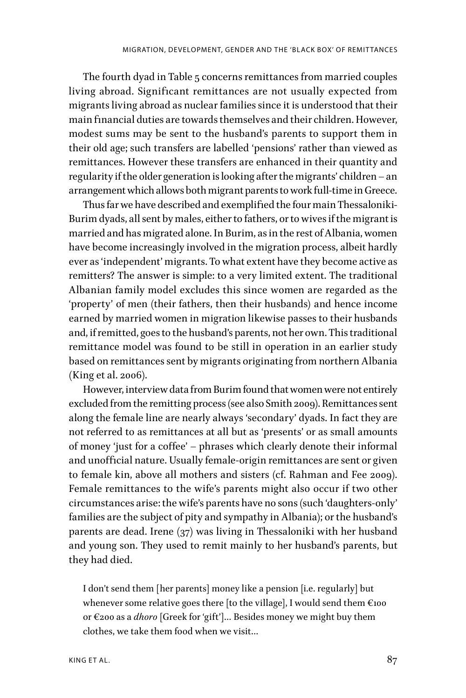The fourth dyad in Table 5 concerns remittances from married couples living abroad. Significant remittances are not usually expected from migrants living abroad as nuclear families since it is understood that their main financial duties are towards themselves and their children. However, modest sums may be sent to the husband's parents to support them in their old age; such transfers are labelled 'pensions' rather than viewed as remittances. However these transfers are enhanced in their quantity and regularity if the older generation is looking after the migrants' children – an arrangement which allows both migrant parents to work full-time in Greece.

Thus far we have described and exemplified the four main Thessaloniki-Burim dyads, all sent by males, either to fathers, or to wives if the migrant is married and has migrated alone. In Burim, as in the rest of Albania, women have become increasingly involved in the migration process, albeit hardly ever as 'independent' migrants. To what extent have they become active as remitters? The answer is simple: to a very limited extent. The traditional Albanian family model excludes this since women are regarded as the 'property' of men (their fathers, then their husbands) and hence income earned by married women in migration likewise passes to their husbands and, if remitted, goes to the husband's parents, not her own. This traditional remittance model was found to be still in operation in an earlier study based on remittances sent by migrants originating from northern Albania (King et al. 2006).

However, interview data from Burim found that women were not entirely excluded from the remitting process (see also Smith 2009). Remittances sent along the female line are nearly always 'secondary' dyads. In fact they are not referred to as remittances at all but as 'presents' or as small amounts of money 'just for a coffee' - phrases which clearly denote their informal and unofficial nature. Usually female-origin remittances are sent or given to female kin, above all mothers and sisters (cf. Rahman and Fee 2009). Female remittances to the wife's parents might also occur if two other circumstances arise: the wife's parents have no sons (such 'daughters-only' families are the subject of pity and sympathy in Albania); or the husband's parents are dead. Irene (37) was living in Thessaloniki with her husband and young son. They used to remit mainly to her husband's parents, but they had died.

I don't send them [her parents] money like a pension [i.e. regularly] but whenever some relative goes there [to the village], I would send them  $\epsilon_{100}$ or €200 as a *dhoro* [Greek for 'gift']… Besides money we might buy them clothes, we take them food when we visit…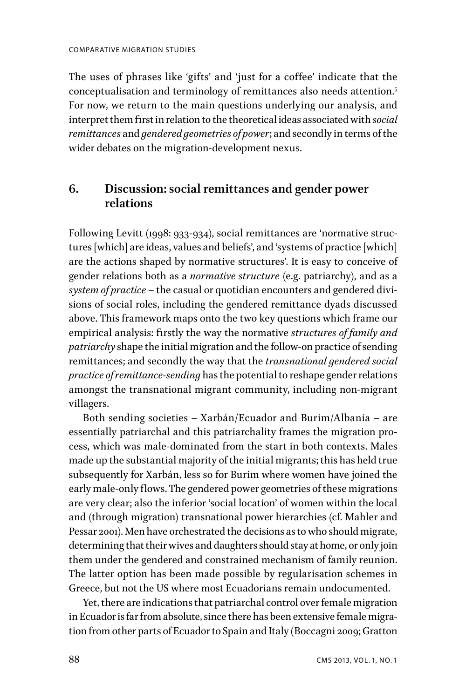The uses of phrases like 'gifts' and 'just for a coffee' indicate that the conceptualisation and terminology of remittances also needs attention.5 For now, we return to the main questions underlying our analysis, and interpret them first in relation to the theoretical ideas associated with *social remittances* and *gendered geometries of power*; and secondly in terms of the wider debates on the migration-development nexus.

## **6. Discussion: social remittances and gender power relations**

Following Levitt (1998: 933-934), social remittances are 'normative structures [which] are ideas, values and beliefs', and 'systems of practice [which] are the actions shaped by normative structures'. It is easy to conceive of gender relations both as a *normative structure* (e.g. patriarchy), and as a *system of practice* – the casual or quotidian encounters and gendered divisions of social roles, including the gendered remittance dyads discussed above. This framework maps onto the two key questions which frame our empirical analysis: firstly the way the normative *structures of family and patriarchy* shape the initial migration and the follow-on practice of sending remittances; and secondly the way that the *transnational gendered social practice of remittance-sending* has the potential to reshape gender relations amongst the transnational migrant community, including non-migrant villagers.

Both sending societies – Xarbán/Ecuador and Burim/Albania – are essentially patriarchal and this patriarchality frames the migration process, which was male-dominated from the start in both contexts. Males made up the substantial majority of the initial migrants; this has held true subsequently for Xarbán, less so for Burim where women have joined the early male-only flows. The gendered power geometries of these migrations are very clear; also the inferior 'social location' of women within the local and (through migration) transnational power hierarchies (cf. Mahler and Pessar 2001). Men have orchestrated the decisions as to who should migrate, determining that their wives and daughters should stay at home, or only join them under the gendered and constrained mechanism of family reunion. The latter option has been made possible by regularisation schemes in Greece, but not the US where most Ecuadorians remain undocumented.

Yet, there are indications that patriarchal control over female migration in Ecuador is far from absolute, since there has been extensive female migration from other parts of Ecuador to Spain and Italy (Boccagni 2009; Gratton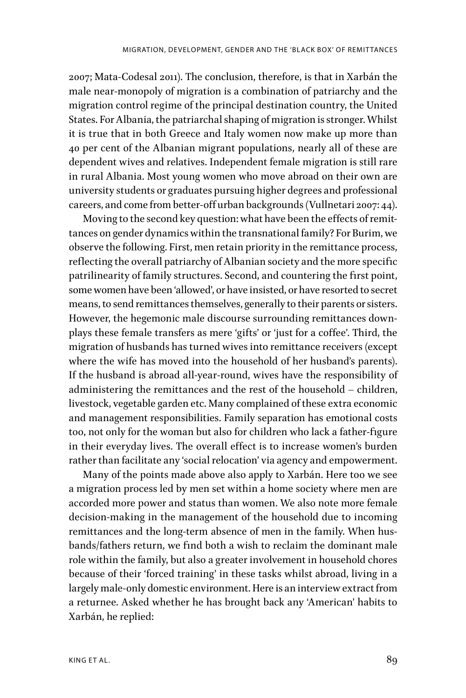2007; Mata-Codesal 2011). The conclusion, therefore, is that in Xarbán the male near-monopoly of migration is a combination of patriarchy and the migration control regime of the principal destination country, the United States. For Albania, the patriarchal shaping of migration is stronger. Whilst it is true that in both Greece and Italy women now make up more than 40 per cent of the Albanian migrant populations, nearly all of these are dependent wives and relatives. Independent female migration is still rare in rural Albania. Most young women who move abroad on their own are university students or graduates pursuing higher degrees and professional careers, and come from better-offf urban backgrounds (Vullnetari 2007: 44).

Moving to the second key question: what have been the effects of remittances on gender dynamics within the transnational family? For Burim, we observe the following. First, men retain priority in the remittance process, reflecting the overall patriarchy of Albanian society and the more specific patrilinearity of family structures. Second, and countering the first point, some women have been 'allowed', or have insisted, or have resorted to secret means, to send remittances themselves, generally to their parents or sisters. However, the hegemonic male discourse surrounding remittances downplays these female transfers as mere 'gifts' or 'just for a coffee'. Third, the migration of husbands has turned wives into remittance receivers (except where the wife has moved into the household of her husband's parents). If the husband is abroad all-year-round, wives have the responsibility of administering the remittances and the rest of the household – children, livestock, vegetable garden etc. Many complained of these extra economic and management responsibilities. Family separation has emotional costs too, not only for the woman but also for children who lack a father-figure in their everyday lives. The overall effect is to increase women's burden rather than facilitate any 'social relocation' via agency and empowerment.

Many of the points made above also apply to Xarbán. Here too we see a migration process led by men set within a home society where men are accorded more power and status than women. We also note more female decision-making in the management of the household due to incoming remittances and the long-term absence of men in the family. When husbands/fathers return, we find both a wish to reclaim the dominant male role within the family, but also a greater involvement in household chores because of their 'forced training' in these tasks whilst abroad, living in a largely male-only domestic environment. Here is an interview extract from a returnee. Asked whether he has brought back any 'American' habits to Xarbán, he replied: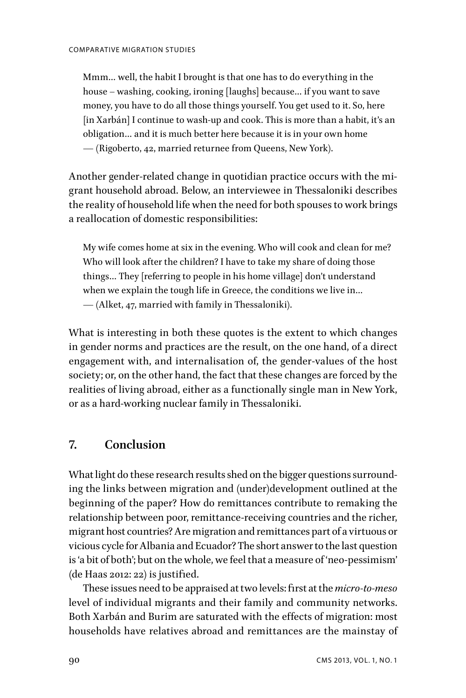Mmm… well, the habit I brought is that one has to do everything in the house – washing, cooking, ironing [laughs] because… if you want to save money, you have to do all those things yourself. You get used to it. So, here [in Xarbán] I continue to wash-up and cook. This is more than a habit, it's an obligation… and it is much better here because it is in your own home — (Rigoberto, 42, married returnee from Queens, New York).

Another gender-related change in quotidian practice occurs with the migrant household abroad. Below, an interviewee in Thessaloniki describes the reality of household life when the need for both spouses to work brings a reallocation of domestic responsibilities:

My wife comes home at six in the evening. Who will cook and clean for me? Who will look after the children? I have to take my share of doing those things… They [referring to people in his home village] don't understand when we explain the tough life in Greece, the conditions we live in… — (Alket, 47, married with family in Thessaloniki).

What is interesting in both these quotes is the extent to which changes in gender norms and practices are the result, on the one hand, of a direct engagement with, and internalisation of, the gender-values of the host society; or, on the other hand, the fact that these changes are forced by the realities of living abroad, either as a functionally single man in New York, or as a hard-working nuclear family in Thessaloniki.

## **7. Conclusion**

What light do these research results shed on the bigger questions surrounding the links between migration and (under)development outlined at the beginning of the paper? How do remittances contribute to remaking the relationship between poor, remittance-receiving countries and the richer, migrant host countries? Are migration and remittances part of a virtuous or vicious cycle for Albania and Ecuador? The short answer to the last question is 'a bit of both'; but on the whole, we feel that a measure of 'neo-pessimism'  $(de Haas 2012: 22)$  is justified.

These issues need to be appraised at two levels: first at the *micro-to-meso* level of individual migrants and their family and community networks. Both Xarbán and Burim are saturated with the effects of migration: most households have relatives abroad and remittances are the mainstay of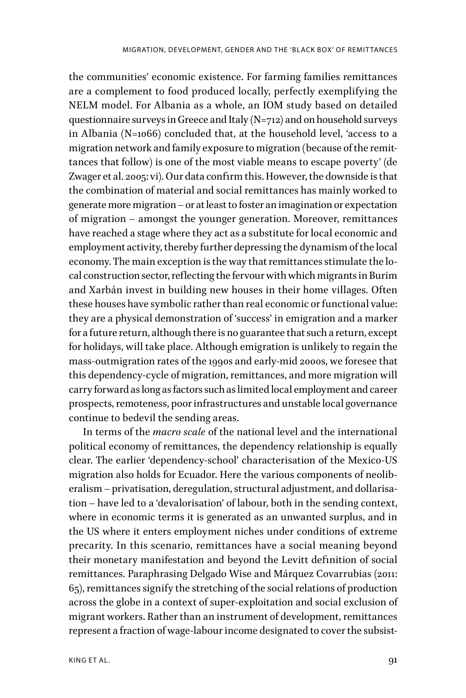the communities' economic existence. For farming families remittances are a complement to food produced locally, perfectly exemplifying the NELM model. For Albania as a whole, an IOM study based on detailed questionnaire surveys in Greece and Italy (N=712) and on household surveys in Albania (N=1066) concluded that, at the household level, 'access to a migration network and family exposure to migration (because of the remittances that follow) is one of the most viable means to escape poverty' (de Zwager et al. 2005: vi). Our data confirm this. However, the downside is that the combination of material and social remittances has mainly worked to generate more migration – or at least to foster an imagination or expectation of migration – amongst the younger generation. Moreover, remittances have reached a stage where they act as a substitute for local economic and employment activity, thereby further depressing the dynamism of the local economy. The main exception is the way that remittances stimulate the local construction sector, reflecting the fervour with which migrants in Burim and Xarbán invest in building new houses in their home villages. Often these houses have symbolic rather than real economic or functional value: they are a physical demonstration of 'success' in emigration and a marker for a future return, although there is no guarantee that such a return, except for holidays, will take place. Although emigration is unlikely to regain the mass-outmigration rates of the 1990s and early-mid 2000s, we foresee that this dependency-cycle of migration, remittances, and more migration will carry forward as long as factors such as limited local employment and career prospects, remoteness, poor infrastructures and unstable local governance continue to bedevil the sending areas.

In terms of the *macro scale* of the national level and the international political economy of remittances, the dependency relationship is equally clear. The earlier 'dependency-school' characterisation of the Mexico-US migration also holds for Ecuador. Here the various components of neoliberalism – privatisation, deregulation, structural adjustment, and dollarisation – have led to a 'devalorisation' of labour, both in the sending context, where in economic terms it is generated as an unwanted surplus, and in the US where it enters employment niches under conditions of extreme precarity. In this scenario, remittances have a social meaning beyond their monetary manifestation and beyond the Levitt definition of social remittances. Paraphrasing Delgado Wise and Márquez Covarrubias (2011: 65), remittances signify the stretching of the social relations of production across the globe in a context of super-exploitation and social exclusion of migrant workers. Rather than an instrument of development, remittances represent a fraction of wage-labour income designated to cover the subsist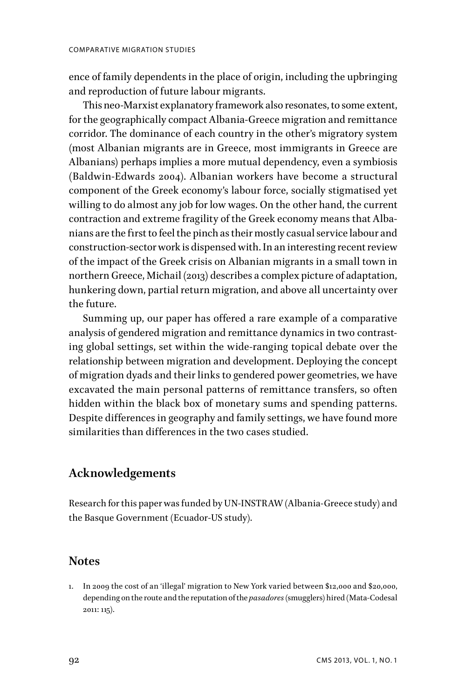ence of family dependents in the place of origin, including the upbringing and reproduction of future labour migrants.

This neo-Marxist explanatory framework also resonates, to some extent, for the geographically compact Albania-Greece migration and remittance corridor. The dominance of each country in the other's migratory system (most Albanian migrants are in Greece, most immigrants in Greece are Albanians) perhaps implies a more mutual dependency, even a symbiosis (Baldwin-Edwards 2004). Albanian workers have become a structural component of the Greek economy's labour force, socially stigmatised yet willing to do almost any job for low wages. On the other hand, the current contraction and extreme fragility of the Greek economy means that Albanians are the first to feel the pinch as their mostly casual service labour and construction-sector work is dispensed with. In an interesting recent review of the impact of the Greek crisis on Albanian migrants in a small town in northern Greece, Michail (2013) describes a complex picture of adaptation, hunkering down, partial return migration, and above all uncertainty over the future.

Summing up, our paper has offered a rare example of a comparative analysis of gendered migration and remittance dynamics in two contrasting global settings, set within the wide-ranging topical debate over the relationship between migration and development. Deploying the concept of migration dyads and their links to gendered power geometries, we have excavated the main personal patterns of remittance transfers, so often hidden within the black box of monetary sums and spending patterns. Despite diffferences in geography and family settings, we have found more similarities than differences in the two cases studied.

## **Acknowledgements**

Research for this paper was funded by UN-INSTRAW (Albania-Greece study) and the Basque Government (Ecuador-US study).

### **Notes**

1. In 2009 the cost of an 'illegal' migration to New York varied between \$12,000 and \$20,000, depending on the route and the reputation of the *pasadores* (smugglers) hired (Mata-Codesal 2011: 115).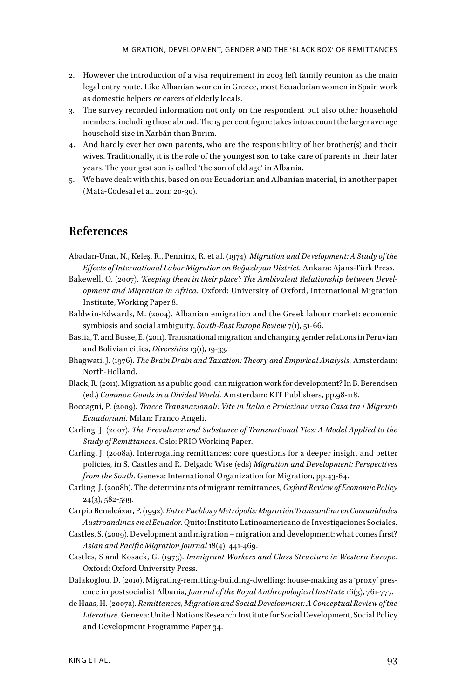- 2. However the introduction of a visa requirement in 2003 left family reunion as the main legal entry route. Like Albanian women in Greece, most Ecuadorian women in Spain work as domestic helpers or carers of elderly locals.
- 3. The survey recorded information not only on the respondent but also other household members, including those abroad. The 15 per cent figure takes into account the larger average household size in Xarbán than Burim.
- 4. And hardly ever her own parents, who are the responsibility of her brother(s) and their wives. Traditionally, it is the role of the youngest son to take care of parents in their later years. The youngest son is called 'the son of old age' in Albania.
- 5. We have dealt with this, based on our Ecuadorian and Albanian material, in another paper (Mata-Codesal et al. 2011: 20-30).

### **References**

- Abadan-Unat, N., Keleş, R., Penninx, R. et al. (1974). *Migration and Development: A Study of the Efffects of International Labor Migration on Boğazlıyan District.* Ankara: Ajans-Türk Press.
- Bakewell, O. (2007). *'Keeping them in their place': The Ambivalent Relationship between Development and Migration in Africa.* Oxford: University of Oxford, International Migration Institute, Working Paper 8.
- Baldwin-Edwards, M. (2004). Albanian emigration and the Greek labour market: economic symbiosis and social ambiguity, *South-East Europe Review* 7(1), 51-66.
- Bastia, T. and Busse, E. (2011). Transnational migration and changing gender relations in Peruvian and Bolivian cities, *Diversities* 13(1), 19-33.
- Bhagwati, J. (1976). *The Brain Drain and Taxation: Theory and Empirical Analysis.* Amsterdam: North-Holland.
- Black, R. (2011). Migration as a public good: can migration work for development? In B. Berendsen (ed.) *Common Goods in a Divided World.* Amsterdam: KIT Publishers, pp.98-118.
- Boccagni, P. (2009). *Tracce Transnazionali: Vite in Italia e Proiezione verso Casa tra i Migranti Ecuadoriani.* Milan: Franco Angeli.
- Carling, J. (2007). *The Prevalence and Substance of Transnational Ties: A Model Applied to the Study of Remittances.* Oslo: PRIO Working Paper.
- Carling, J. (2008a). Interrogating remittances: core questions for a deeper insight and better policies, in S. Castles and R. Delgado Wise (eds) *Migration and Development: Perspectives from the South.* Geneva: International Organization for Migration, pp.43-64.
- Carling, J. (2008b). The determinants of migrant remittances, *Oxford Review of Economic Policy*  $24(3), 582 - 599.$
- Carpio Benalcázar, P. (1992). *Entre Pueblos y Metrópolis: Migración Transandina en Comunidades Austroandinas en el Ecuador.* Quito: Instituto Latinoamericano de Investigaciones Sociales.
- Castles, S. (2009). Development and migration migration and development: what comes first? *Asian and Pacific Migration Journal* 18(4), 441-469.
- Castles, S and Kosack, G. (1973). *Immigrant Workers and Class Structure in Western Europe.* Oxford: Oxford University Press.
- Dalakoglou, D. (2010). Migrating-remitting-building-dwelling: house-making as a 'proxy' presence in postsocialist Albania, *Journal of the Royal Anthropological Institute* 16(3), 761-777.
- de Haas, H. (2007a). *Remittances, Migration and Social Development: A Conceptual Review of the Literature*. Geneva: United Nations Research Institute for Social Development, Social Policy and Development Programme Paper 34.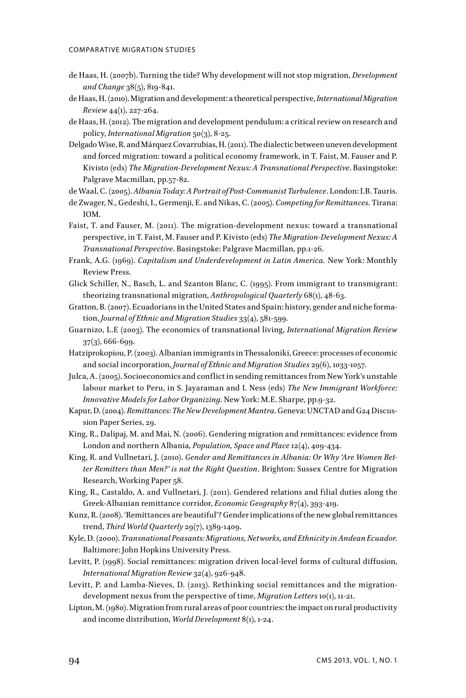- de Haas, H. (2007b). Turning the tide? Why development will not stop migration, *Development and Change* 38(5), 819-841.
- de Haas, H. (2010). Migration and development: a theoretical perspective, *International Migration Review* 44(1), 227-264.
- de Haas, H. (2012). The migration and development pendulum: a critical review on research and policy, *International Migration* 50(3), 8-25.
- Delgado Wise, R. and Márquez Covarrubias, H. (2011). The dialectic between uneven development and forced migration: toward a political economy framework, in T. Faist, M. Fauser and P. Kivisto (eds) *The Migration-Development Nexus: A Transnational Perspective*. Basingstoke: Palgrave Macmillan, pp.57-82.

de Waal, C. (2005). *Albania Today: A Portrait of Post-Communist Turbulence*. London: I.B. Tauris.

- de Zwager, N., Gedeshi, I., Germenji, E. and Nikas, C. (2005). *Competing for Remittances.* Tirana: IOM.
- Faist, T. and Fauser, M. (2011). The migration-development nexus: toward a transnational perspective, in T. Faist, M. Fauser and P. Kivisto (eds) *The Migration-Development Nexus: A Transnational Perspective*. Basingstoke: Palgrave Macmillan, pp.1-26.
- Frank, A.G. (1969). *Capitalism and Underdevelopment in Latin America.* New York: Monthly Review Press.
- Glick Schiller, N., Basch, L. and Szanton Blanc, C. (1995). From immigrant to transmigrant: theorizing transnational migration, *Anthropological Quarterly* 68(1), 48-63.
- Gratton, B. (2007). Ecuadorians in the United States and Spain: history, gender and niche formation, *Journal of Ethnic and Migration Studies* 33(4), 581-599.
- Guarnizo, L.E (2003). The economics of transnational living, *International Migration Review* 37(3), 666-699.
- Hatziprokopiou, P. (2003). Albanian immigrants in Thessaloniki, Greece: processes of economic and social incorporation, *Journal of Ethnic and Migration Studies* 29(6), 1033-1057.
- Julca, A. (2005). Socioeconomics and conflict in sending remittances from New York's unstable labour market to Peru, in S. Jayaraman and I. Ness (eds) *The New Immigrant Workforce: Innovative Models for Labor Organizing*. New York: M.E. Sharpe, pp.9-32.
- Kapur, D. (2004). *Remittances: The New Development Mantra*. Geneva: UNCTAD and G24 Discussion Paper Series, 29.
- King, R., Dalipaj, M. and Mai, N. (2006). Gendering migration and remittances: evidence from London and northern Albania, *Population, Space and Place* 12(4), 409-434.
- King, R. and Vullnetari, J. (2010). *Gender and Remittances in Albania: Or Why 'Are Women Better Remitters than Men?' is not the Right Question*. Brighton: Sussex Centre for Migration Research, Working Paper 58.
- King, R., Castaldo, A. and Vullnetari, J. (2011). Gendered relations and filial duties along the Greek-Albanian remittance corridor, *Economic Geography* 87(4), 393-419.
- Kunz, R. (2008). 'Remittances are beautiful'? Gender implications of the new global remittances trend, *Third World Quarterly* 29(7), 1389-1409.
- Kyle, D. (2000). *Transnational Peasants: Migrations, Networks, and Ethnicity in Andean Ecuador.* Baltimore: John Hopkins University Press.
- Levitt, P. (1998). Social remittances: migration driven local-level forms of cultural difffusion, *International Migration Review* 32(4), 926-948.
- Levitt, P. and Lamba-Nieves, D. (2013). Rethinking social remittances and the migrationdevelopment nexus from the perspective of time, *Migration Letters* 10(1), 11-21.
- Lipton, M. (1980). Migration from rural areas of poor countries: the impact on rural productivity and income distribution, *World Development* 8(1), 1-24.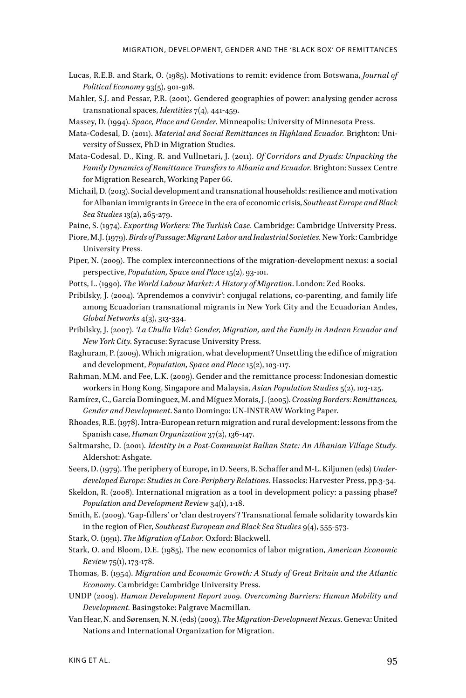- Lucas, R.E.B. and Stark, O. (1985). Motivations to remit: evidence from Botswana, *Journal of Political Economy* 93(5), 901-918.
- Mahler, S.J. and Pessar, P.R. (2001). Gendered geographies of power: analysing gender across transnational spaces, *Identities* 7(4), 441-459.
- Massey, D. (1994). *Space, Place and Gender*. Minneapolis: University of Minnesota Press.

Mata-Codesal, D. (2011). *Material and Social Remittances in Highland Ecuador.* Brighton: University of Sussex, PhD in Migration Studies.

- Mata-Codesal, D., King, R. and Vullnetari, J. (2011). *Of Corridors and Dyads: Unpacking the Family Dynamics of Remittance Transfers to Albania and Ecuador.* Brighton: Sussex Centre for Migration Research, Working Paper 66.
- Michail, D. (2013). Social development and transnational households: resilience and motivation for Albanian immigrants in Greece in the era of economic crisis, *Southeast Europe and Black Sea Studies* 13(2), 265-279.

Paine, S. (1974). *Exporting Workers: The Turkish Case.* Cambridge: Cambridge University Press.

- Piore, M.J. (1979). *Birds of Passage: Migrant Labor and Industrial Societies.* New York: Cambridge University Press.
- Piper, N. (2009). The complex interconnections of the migration-development nexus: a social perspective, *Population, Space and Place* 15(2), 93-101.
- Potts, L. (1990). *The World Labour Market: A History of Migration*. London: Zed Books.
- Pribilsky, J. (2004). 'Aprendemos a convivir': conjugal relations, co-parenting, and family life among Ecuadorian transnational migrants in New York City and the Ecuadorian Andes, *Global Networks* 4(3), 313-334.
- Pribilsky, J. (2007). *'La Chulla Vida': Gender, Migration, and the Family in Andean Ecuador and New York City.* Syracuse: Syracuse University Press.
- Raghuram, P. (2009). Which migration, what development? Unsettling the edifice of migration and development, *Population, Space and Place* 15(2), 103-117.
- Rahman, M.M. and Fee, L.K. (2009). Gender and the remittance process: Indonesian domestic workers in Hong Kong, Singapore and Malaysia, *Asian Population Studies* 5(2), 103-125.
- Ramírez, C., García Domínguez, M. and Míguez Morais, J. (2005). *Crossing Borders: Remittances, Gender and Development*. Santo Domingo: UN-INSTRAW Working Paper.
- Rhoades, R.E. (1978). Intra-European return migration and rural development: lessons from the Spanish case, *Human Organization* 37(2), 136-147.
- Saltmarshe, D. (2001). *Identity in a Post-Communist Balkan State: An Albanian Village Study.* Aldershot: Ashgate.

Seers, D. (1979). The periphery of Europe, in D. Seers, B. Schafffer and M-L. Kiljunen (eds) *Underdeveloped Europe: Studies in Core-Periphery Relations*. Hassocks: Harvester Press, pp.3-34.

- Skeldon, R. (2008). International migration as a tool in development policy: a passing phase? *Population and Development Review* 34(1), 1-18.
- Smith, E. (2009). 'Gap-fillers' or 'clan destroyers'? Transnational female solidarity towards kin in the region of Fier, *Southeast European and Black Sea Studies* 9(4), 555-573.
- Stark, O. (1991). *The Migration of Labor*. Oxford: Blackwell.
- Stark, O. and Bloom, D.E. (1985). The new economics of labor migration, *American Economic Review* 75(1), 173-178.
- Thomas, B. (1954). *Migration and Economic Growth: A Study of Great Britain and the Atlantic Economy*. Cambridge: Cambridge University Press.
- UNDP (2009). *Human Development Report 2009. Overcoming Barriers: Human Mobility and Development.* Basingstoke: Palgrave Macmillan.
- Van Hear, N. and Sørensen, N. N. (eds) (2003). *The Migration-Development Nexus*. Geneva: United Nations and International Organization for Migration.